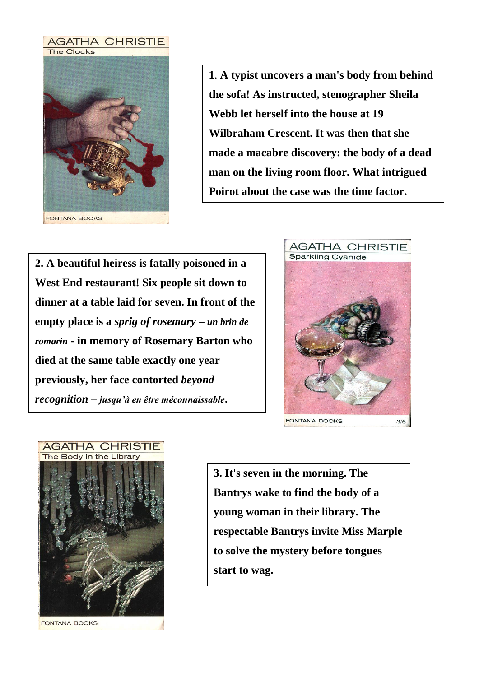

**1**. **A typist uncovers a man's body from behind the sofa! As instructed, stenographer Sheila Webb let herself into the house at 19 Wilbraham Crescent. It was then that she made a macabre discovery: the body of a dead man on the living room floor. What intrigued Poirot about the case was the time factor.**

**2. A beautiful heiress is fatally poisoned in a West End restaurant! Six people sit down to dinner at a table laid for seven. In front of the empty place is a** *sprig of rosemary* **–** *un brin de romarin* **- in memory of Rosemary Barton who died at the same table exactly one year previously, her face contorted** *beyond recognition* **–** *jusqu'à en être méconnaissable***.**





**3. It's seven in the morning. The Bantrys wake to find the body of a young woman in their library. The respectable Bantrys invite Miss Marple to solve the mystery before tongues start to wag.**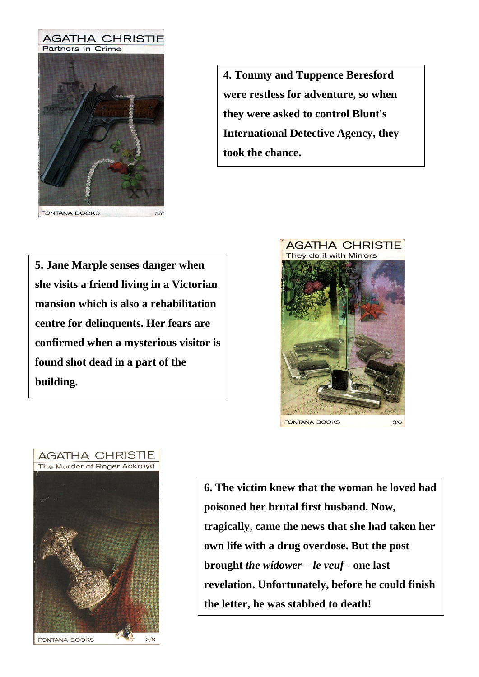

FONTANA BOOKS

**4. Tommy and Tuppence Beresford were restless for adventure, so when they were asked to control Blunt's International Detective Agency, they took the chance.** 

**5. Jane Marple senses danger when she visits a friend living in a Victorian mansion which is also a rehabilitation centre for delinquents. Her fears are confirmed when a mysterious visitor is found shot dead in a part of the building.**





**6. The victim knew that the woman he loved had poisoned her brutal first husband. Now, tragically, came the news that she had taken her own life with a drug overdose. But the post brought** *the widower* **–** *le veuf* **- one last revelation. Unfortunately, before he could finish the letter, he was stabbed to death!**